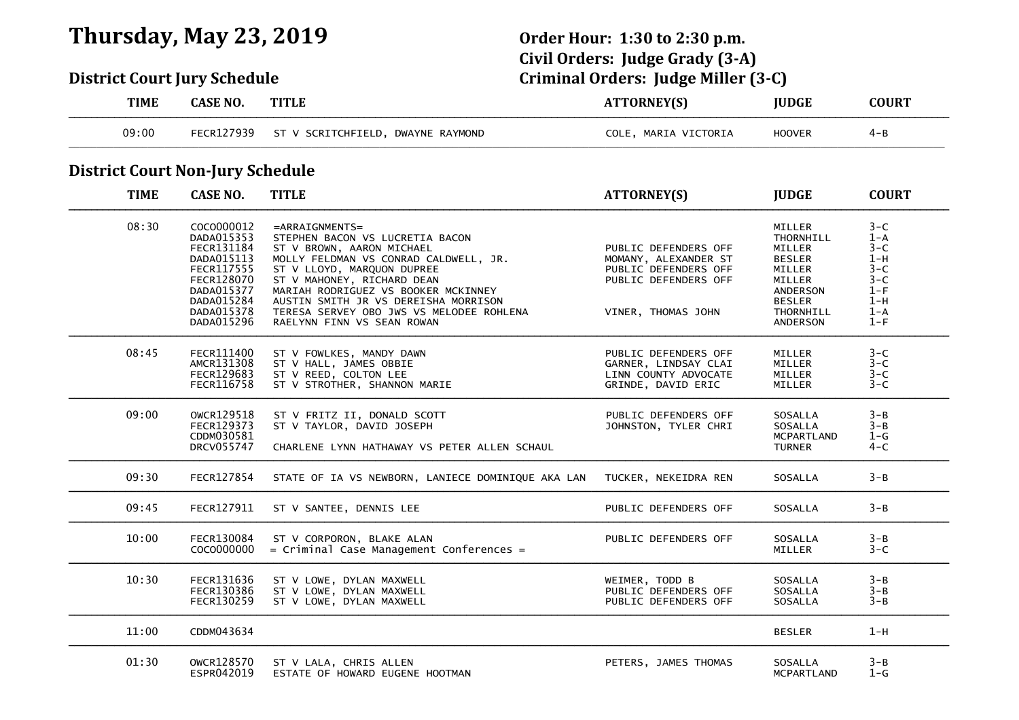## **Thursday, May 23, 2019 Order Hour: 1:30 to 2:30 p.m.**

# **Civil Orders: Judge Grady (3-A) District Court Jury Schedule Criminal Orders: Judge Miller (3-C)**

| <b>TIME</b>                             | <b>CASE NO.</b>                                                                                                                          | <b>TITLE</b>                                                                                                                                                                                                                                                                                                                                    | <b>ATTORNEY(S)</b>                                                                                                 | <b>JUDGE</b>                                                                                                             | <b>COURT</b>                                                                                       |
|-----------------------------------------|------------------------------------------------------------------------------------------------------------------------------------------|-------------------------------------------------------------------------------------------------------------------------------------------------------------------------------------------------------------------------------------------------------------------------------------------------------------------------------------------------|--------------------------------------------------------------------------------------------------------------------|--------------------------------------------------------------------------------------------------------------------------|----------------------------------------------------------------------------------------------------|
| 09:00                                   | FECR127939                                                                                                                               | ST V SCRITCHFIELD, DWAYNE RAYMOND                                                                                                                                                                                                                                                                                                               | COLE, MARIA VICTORIA                                                                                               | <b>HOOVER</b>                                                                                                            | $4 - B$                                                                                            |
| <b>District Court Non-Jury Schedule</b> |                                                                                                                                          |                                                                                                                                                                                                                                                                                                                                                 |                                                                                                                    |                                                                                                                          |                                                                                                    |
| <b>TIME</b>                             | <b>CASE NO.</b>                                                                                                                          | <b>TITLE</b>                                                                                                                                                                                                                                                                                                                                    | <b>ATTORNEY(S)</b>                                                                                                 | <b>JUDGE</b>                                                                                                             | <b>COURT</b>                                                                                       |
| 08:30                                   | COCO000012<br>DADA015353<br>FECR131184<br>DADA015113<br>FECR117555<br>FECR128070<br>DADA015377<br>DADA015284<br>DADA015378<br>DADA015296 | $=$ ARRAIGNMENTS=<br>STEPHEN BACON VS LUCRETIA BACON<br>ST V BROWN, AARON MICHAEL<br>MOLLY FELDMAN VS CONRAD CALDWELL, JR.<br>ST V LLOYD, MARQUON DUPREE<br>ST V MAHONEY, RICHARD DEAN<br>MARIAH RODRIGUEZ VS BOOKER MCKINNEY<br>AUSTIN SMITH JR VS DEREISHA MORRISON<br>TERESA SERVEY OBO JWS VS MELODEE ROHLENA<br>RAELYNN FINN VS SEAN ROWAN | PUBLIC DEFENDERS OFF<br>MOMANY, ALEXANDER ST<br>PUBLIC DEFENDERS OFF<br>PUBLIC DEFENDERS OFF<br>VINER, THOMAS JOHN | MILLER<br>THORNHILL<br>MILLER<br><b>BESLER</b><br>MILLER<br>MILLER<br>ANDERSON<br><b>BESLER</b><br>THORNHILL<br>ANDERSON | $3 - C$<br>$1 - A$<br>$3 - C$<br>$1-H$<br>$3 - C$<br>$3 - C$<br>$1-F$<br>$1-H$<br>$1 - A$<br>$1-F$ |
| 08:45                                   | FECR111400<br>AMCR131308<br>FECR129683<br>FECR116758                                                                                     | ST V FOWLKES, MANDY DAWN<br>ST V HALL, JAMES OBBIE<br>ST V REED, COLTON LEE<br>ST V STROTHER, SHANNON MARIE                                                                                                                                                                                                                                     | PUBLIC DEFENDERS OFF<br>GARNER, LINDSAY CLAI<br>LINN COUNTY ADVOCATE<br>GRINDE, DAVID ERIC                         | MILLER<br>MILLER<br>MILLER<br><b>MILLER</b>                                                                              | $3 - C$<br>$3 - C$<br>$3 - C$<br>$3 - C$                                                           |
| 09:00                                   | OWCR129518<br>FECR129373<br>CDDM030581<br>DRCV055747                                                                                     | ST V FRITZ II, DONALD SCOTT<br>ST V TAYLOR, DAVID JOSEPH<br>CHARLENE LYNN HATHAWAY VS PETER ALLEN SCHAUL                                                                                                                                                                                                                                        | PUBLIC DEFENDERS OFF<br>JOHNSTON, TYLER CHRI                                                                       | SOSALLA<br>SOSALLA<br><b>MCPARTLAND</b><br><b>TURNER</b>                                                                 | $3 - B$<br>$3 - B$<br>$1-G$<br>$4 - C$                                                             |
| 09:30                                   | FECR127854                                                                                                                               | STATE OF IA VS NEWBORN, LANIECE DOMINIQUE AKA LAN                                                                                                                                                                                                                                                                                               | TUCKER, NEKEIDRA REN                                                                                               | SOSALLA                                                                                                                  | $3 - B$                                                                                            |
| 09:45                                   | FECR127911                                                                                                                               | ST V SANTEE, DENNIS LEE                                                                                                                                                                                                                                                                                                                         | PUBLIC DEFENDERS OFF                                                                                               | SOSALLA                                                                                                                  | $3 - B$                                                                                            |
| 10:00                                   | FECR130084<br>COCO000000                                                                                                                 | ST V CORPORON, BLAKE ALAN<br>$=$ Criminal Case Management Conferences =                                                                                                                                                                                                                                                                         | PUBLIC DEFENDERS OFF                                                                                               | SOSALLA<br>MILLER                                                                                                        | $3 - B$<br>$3 - C$                                                                                 |
| 10:30                                   | FECR131636<br>FECR130386<br>FECR130259                                                                                                   | ST V LOWE, DYLAN MAXWELL<br>ST V LOWE, DYLAN MAXWELL<br>ST V LOWE, DYLAN MAXWELL                                                                                                                                                                                                                                                                | WEIMER, TODD B<br>PUBLIC DEFENDERS OFF<br>PUBLIC DEFENDERS OFF                                                     | SOSALLA<br>SOSALLA<br>SOSALLA                                                                                            | $3 - B$<br>$3 - B$<br>$3 - B$                                                                      |
| 11:00                                   | CDDM043634                                                                                                                               |                                                                                                                                                                                                                                                                                                                                                 |                                                                                                                    | <b>BESLER</b>                                                                                                            | $1-H$                                                                                              |
| 01:30                                   | OWCR128570<br>ESPR042019                                                                                                                 | ST V LALA, CHRIS ALLEN<br>ESTATE OF HOWARD EUGENE HOOTMAN                                                                                                                                                                                                                                                                                       | PETERS, JAMES THOMAS                                                                                               | SOSALLA<br>MCPARTLAND                                                                                                    | $3 - B$<br>$1-G$                                                                                   |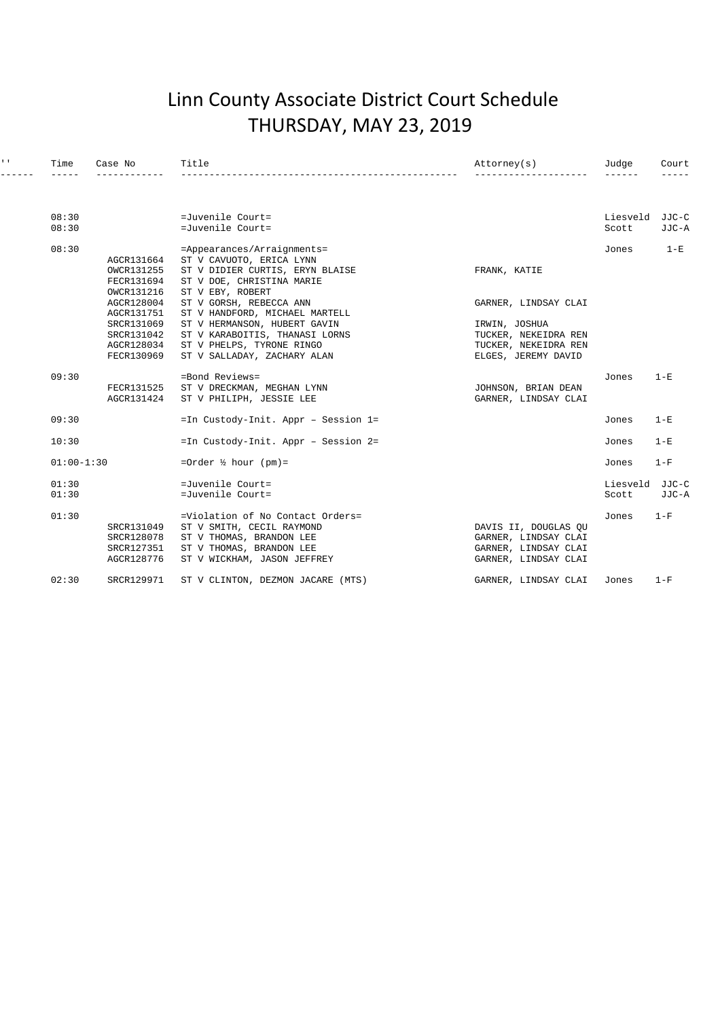### Linn County Associate District Court Schedule THURSDAY, MAY 23, 2019

| $1 - 1$ | Time           | Case No                                              | Title                                                                                                                                                | Attorney(s)                                                                                  | Judge             | Court          |
|---------|----------------|------------------------------------------------------|------------------------------------------------------------------------------------------------------------------------------------------------------|----------------------------------------------------------------------------------------------|-------------------|----------------|
|         |                |                                                      |                                                                                                                                                      |                                                                                              | ------            | -----          |
|         | 08:30          |                                                      | =Juvenile Court=                                                                                                                                     |                                                                                              | Liesveld          | JJC-C          |
|         | 08:30          |                                                      | =Juvenile Court=                                                                                                                                     |                                                                                              | Scott             | JJC-A          |
|         | 08:30          | AGCR131664                                           | =Appearances/Arraignments=<br>ST V CAVUOTO, ERICA LYNN                                                                                               |                                                                                              | Jones             | $1 - E$        |
|         |                | OWCR131255<br>FECR131694<br>OWCR131216               | ST V DIDIER CURTIS, ERYN BLAISE<br>ST V DOE, CHRISTINA MARIE<br>ST V EBY, ROBERT                                                                     | FRANK, KATIE                                                                                 |                   |                |
|         |                | AGCR128004<br>AGCR131751                             | ST V GORSH, REBECCA ANN<br>ST V HANDFORD, MICHAEL MARTELL                                                                                            | GARNER, LINDSAY CLAI                                                                         |                   |                |
|         |                | SRCR131069<br>SRCR131042<br>AGCR128034<br>FECR130969 | ST V HERMANSON, HUBERT GAVIN<br>ST V KARABOITIS, THANASI LORNS<br>ST V PHELPS, TYRONE RINGO<br>ST V SALLADAY, ZACHARY ALAN                           | IRWIN, JOSHUA<br>TUCKER, NEKEIDRA REN<br>TUCKER, NEKEIDRA REN<br>ELGES, JEREMY DAVID         |                   |                |
|         | 09:30          | FECR131525<br>AGCR131424                             | =Bond Reviews=<br>ST V DRECKMAN, MEGHAN LYNN<br>ST V PHILIPH, JESSIE LEE                                                                             | JOHNSON, BRIAN DEAN<br>GARNER, LINDSAY CLAI                                                  | Jones             | $1-E$          |
|         | 09:30          |                                                      | =In Custody-Init. Appr - Session 1=                                                                                                                  |                                                                                              | Jones             | $1-E$          |
|         | 10:30          |                                                      | =In Custody-Init. Appr - Session 2=                                                                                                                  |                                                                                              | Jones             | $1-E$          |
|         | $01:00-1:30$   |                                                      | =Order $\frac{1}{2}$ hour (pm)=                                                                                                                      |                                                                                              | Jones             | $1-F$          |
|         | 01:30<br>01:30 |                                                      | =Juvenile Court=<br>=Juvenile Court=                                                                                                                 |                                                                                              | Liesveld<br>Scott | JJC-C<br>JJC-A |
|         | 01:30          | SRCR131049<br>SRCR128078<br>SRCR127351<br>AGCR128776 | =Violation of No Contact Orders=<br>ST V SMITH, CECIL RAYMOND<br>ST V THOMAS, BRANDON LEE<br>ST V THOMAS, BRANDON LEE<br>ST V WICKHAM, JASON JEFFREY | DAVIS II, DOUGLAS OU<br>GARNER, LINDSAY CLAI<br>GARNER, LINDSAY CLAI<br>GARNER, LINDSAY CLAI | Jones             | $1-F$          |
|         | 02:30          | SRCR129971                                           | ST V CLINTON, DEZMON JACARE (MTS)                                                                                                                    | GARNER, LINDSAY CLAI                                                                         | Jones             | $1-F$          |